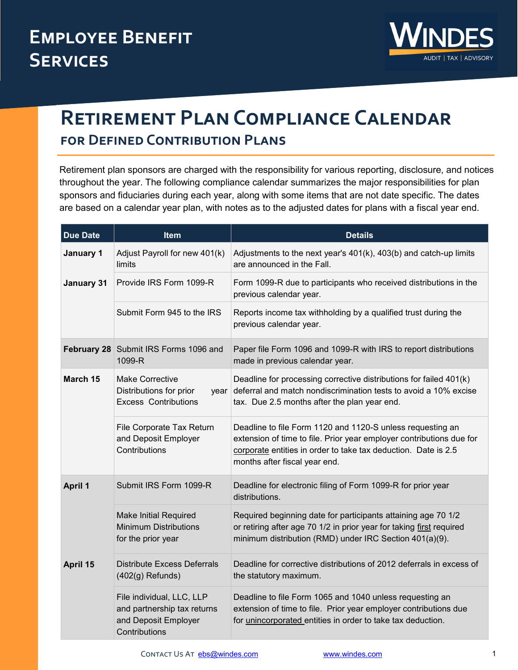

## **Retirement Plan Compliance Calendar for Defined Contribution Plans**

Retirement plan sponsors are charged with the responsibility for various reporting, disclosure, and notices throughout the year. The following compliance calendar summarizes the major responsibilities for plan sponsors and fiduciaries during each year, along with some items that are not date specific. The dates are based on a calendar year plan, with notes as to the adjusted dates for plans with a fiscal year end.

| <b>Due Date</b> | <b>Item</b>                                                                                       | <b>Details</b>                                                                                                                                                                                                                        |
|-----------------|---------------------------------------------------------------------------------------------------|---------------------------------------------------------------------------------------------------------------------------------------------------------------------------------------------------------------------------------------|
| January 1       | Adjust Payroll for new 401(k)<br>limits                                                           | Adjustments to the next year's 401(k), 403(b) and catch-up limits<br>are announced in the Fall.                                                                                                                                       |
| January 31      | Provide IRS Form 1099-R                                                                           | Form 1099-R due to participants who received distributions in the<br>previous calendar year.                                                                                                                                          |
|                 | Submit Form 945 to the IRS                                                                        | Reports income tax withholding by a qualified trust during the<br>previous calendar year.                                                                                                                                             |
|                 | February 28 Submit IRS Forms 1096 and<br>1099-R                                                   | Paper file Form 1096 and 1099-R with IRS to report distributions<br>made in previous calendar year.                                                                                                                                   |
| March 15        | <b>Make Corrective</b><br>Distributions for prior<br><b>Excess Contributions</b>                  | Deadline for processing corrective distributions for failed 401(k)<br>year deferral and match nondiscrimination tests to avoid a 10% excise<br>tax. Due 2.5 months after the plan year end.                                           |
|                 | File Corporate Tax Return<br>and Deposit Employer<br>Contributions                                | Deadline to file Form 1120 and 1120-S unless requesting an<br>extension of time to file. Prior year employer contributions due for<br>corporate entities in order to take tax deduction. Date is 2.5<br>months after fiscal year end. |
| <b>April 1</b>  | Submit IRS Form 1099-R                                                                            | Deadline for electronic filing of Form 1099-R for prior year<br>distributions.                                                                                                                                                        |
|                 | <b>Make Initial Required</b><br><b>Minimum Distributions</b><br>for the prior year                | Required beginning date for participants attaining age 70 1/2<br>or retiring after age 70 1/2 in prior year for taking first required<br>minimum distribution (RMD) under IRC Section 401(a)(9).                                      |
| April 15        | Distribute Excess Deferrals<br>$(402(g)$ Refunds)                                                 | Deadline for corrective distributions of 2012 deferrals in excess of<br>the statutory maximum.                                                                                                                                        |
|                 | File individual, LLC, LLP<br>and partnership tax returns<br>and Deposit Employer<br>Contributions | Deadline to file Form 1065 and 1040 unless requesting an<br>extension of time to file. Prior year employer contributions due<br>for unincorporated entities in order to take tax deduction.                                           |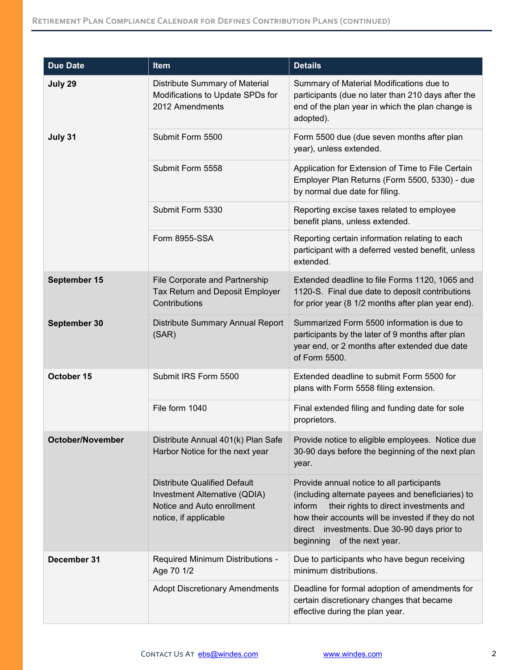| <b>Due Date</b>         | Item                                                                                                                        | <b>Details</b>                                                                                                                                                                                                                                                                               |
|-------------------------|-----------------------------------------------------------------------------------------------------------------------------|----------------------------------------------------------------------------------------------------------------------------------------------------------------------------------------------------------------------------------------------------------------------------------------------|
| July 29                 | Distribute Summary of Material<br>Modifications to Update SPDs for<br>2012 Amendments                                       | Summary of Material Modifications due to<br>participants (due no later than 210 days after the<br>end of the plan year in which the plan change is<br>adopted).                                                                                                                              |
| July 31                 | Submit Form 5500                                                                                                            | Form 5500 due (due seven months after plan<br>year), unless extended.                                                                                                                                                                                                                        |
|                         | Submit Form 5558                                                                                                            | Application for Extension of Time to File Certain<br>Employer Plan Returns (Form 5500, 5330) - due<br>by normal due date for filing.                                                                                                                                                         |
|                         | Submit Form 5330                                                                                                            | Reporting excise taxes related to employee<br>benefit plans, unless extended.                                                                                                                                                                                                                |
|                         | Form 8955-SSA                                                                                                               | Reporting certain information relating to each<br>participant with a deferred vested benefit, unless<br>extended.                                                                                                                                                                            |
| September 15            | File Corporate and Partnership<br>Tax Return and Deposit Employer<br>Contributions                                          | Extended deadline to file Forms 1120, 1065 and<br>1120-S. Final due date to deposit contributions<br>for prior year (8 1/2 months after plan year end).                                                                                                                                      |
| September 30            | Distribute Summary Annual Report<br>(SAR)                                                                                   | Summarized Form 5500 information is due to<br>participants by the later of 9 months after plan<br>year end, or 2 months after extended due date<br>of Form 5500.                                                                                                                             |
| October 15              | Submit IRS Form 5500                                                                                                        | Extended deadline to submit Form 5500 for<br>plans with Form 5558 filing extension.                                                                                                                                                                                                          |
|                         | File form 1040                                                                                                              | Final extended filing and funding date for sole<br>proprietors.                                                                                                                                                                                                                              |
| <b>October/November</b> | Distribute Annual 401(k) Plan Safe<br>Harbor Notice for the next year                                                       | Provide notice to eligible employees. Notice due<br>30-90 days before the beginning of the next plan<br>year.                                                                                                                                                                                |
|                         | <b>Distribute Qualified Default</b><br>Investment Alternative (QDIA)<br>Notice and Auto enrollment<br>notice, if applicable | Provide annual notice to all participants<br>(including alternate payees and beneficiaries) to<br>their rights to direct investments and<br>inform<br>how their accounts will be invested if they do not<br>investments. Due 30-90 days prior to<br>direct<br>beginning<br>of the next year. |
| December 31             | Required Minimum Distributions -<br>Age 70 1/2                                                                              | Due to participants who have begun receiving<br>minimum distributions.                                                                                                                                                                                                                       |
|                         | <b>Adopt Discretionary Amendments</b>                                                                                       | Deadline for formal adoption of amendments for<br>certain discretionary changes that became<br>effective during the plan year.                                                                                                                                                               |